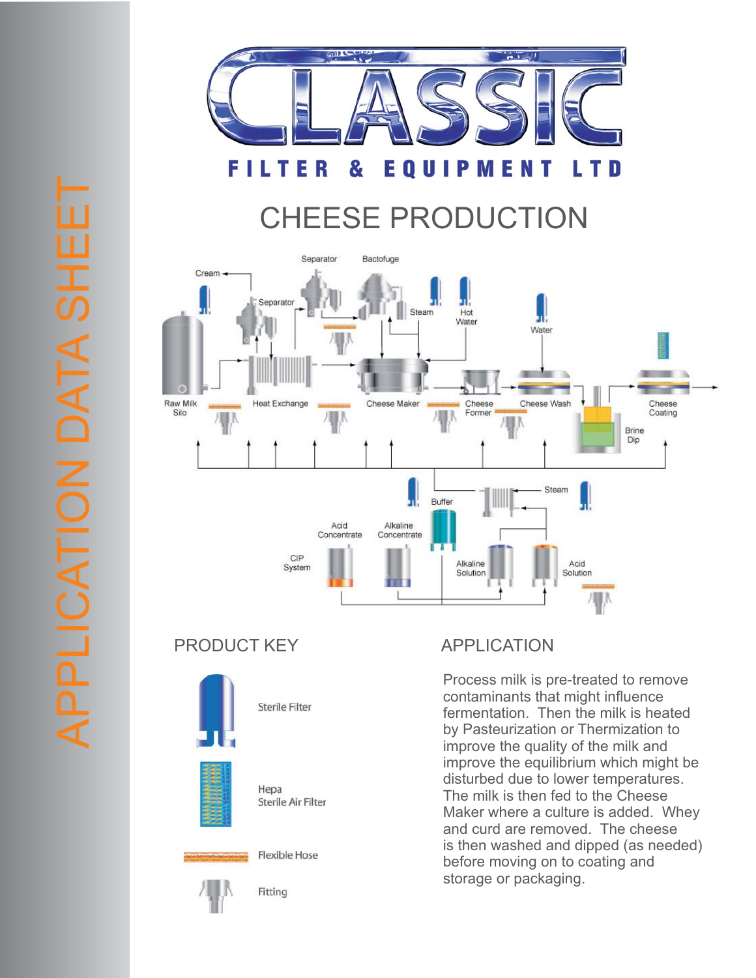

#### **FILT** Е & EQUIP **ME** T D R N ı

# CHEESE PRODUCTION



## PRODUCT KEY APPLICATION



Hepa Sterile Air Filter

Sterile Filter

#### **Flexible Hose**



Fitting

Process milk is pre-treated to remove contaminants that might influence fermentation. Then the milk is heated by Pasteurization or Thermization to improve the quality of the milk and improve the equilibrium which might be disturbed due to lower temperatures. The milk is then fed to the Cheese Maker where a culture is added. Whey and curd are removed. The cheese is then washed and dipped (as needed) before moving on to coating and storage or packaging.